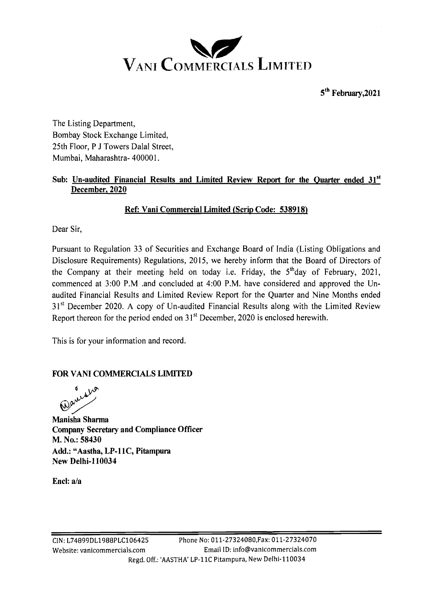

 $5<sup>th</sup>$  February. 2021

The Listing Department, Bombay Stock Exchange Limited, 25th Floor, P J Towers Dalal Street, Mumbai, Maharashtra- 400001.

## Sub: Un-audited Financial Results and Limited Review Report for the Ouarter ended 31<sup>st</sup> **December, 2020**

## **Ref: Vani Commercial Limited (Scrip Code: 538918)**

Dear Sir,

Pursuant to Regulation 33 of Securities and Exchange Board of India (Listing Obligations and Disclosure Requirements) Regulations, 2015, we hereby inform that the Board of Directors of the Company at their meeting held on today i.e. Friday, the  $5<sup>th</sup>$ day of February, 2021, commenced at 3:00 P.M .and concluded at 4:00 P.M. have considered and approved the Unaudited Financial Results and Limited Review Report for the Quarter and Nine Months ended 31<sup>st</sup> December 2020. A copy of Un-audited Financial Results along with the Limited Review Report thereon for the period ended on  $31<sup>st</sup>$  December, 2020 is enclosed herewith.

This is for your information and record.

## **FOR VAN1 COMNIERCIALS LIMITED**

**Manisha Sharma Company Secretary and Compliance Officer M. No.: 58430**  Add.: "Aastha, LP-11C, Pitampura **New Delhi-110034** 

**Encl: a/a**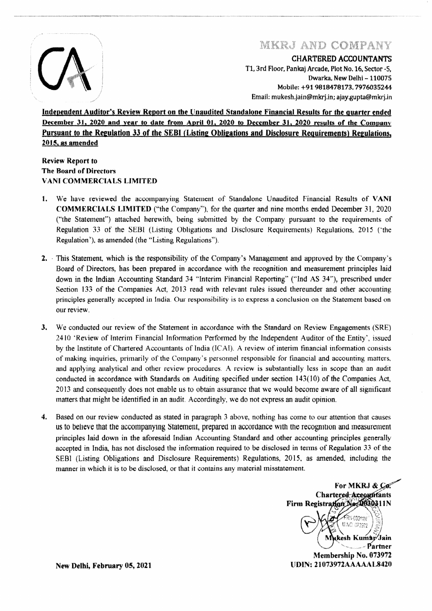

# MKRJ AND COMPANY

**CHARTERED ACCOUNTANTS** 

T1, 3rd Floor, Pankaj Arcade, Plot No. 16, Sector -5, Dwarka, New Delhi - 110075 Mobile: +91 9818478173, 7976035244 Email: mukesh.jain@mkrj.in; ajay.gupta@mkrj.in

Independent Auditor's Review Report on the Unaudited Standalone Financial Results for the quarter ended December 31, 2020 and year to date from April 01, 2020 to December 31, 2020 results of the Company Pursuant to the Regulation 33 of the SEBI (Listing Obligations and Disclosure Requirements) Regulations. 2015, as amended

### **Review Report to The Board of Directors VANI COMMERCIALS LIMITED**

- $\mathbf{1}$ . We have reviewed the accompanying Statement of Standalone Unaudited Financial Results of VANI **COMMERCIALS LIMITED** ("the Company"), for the quarter and nine months ended December 31, 2020 ("the Statement") attached herewith, being submitted by the Company pursuant to the requirements of Regulation 33 of the SEBI (Listing Obligations and Disclosure Requirements) Regulations, 2015 ('the Regulation'), as amended (the "Listing Regulations").
- 2. This Statement, which is the responsibility of the Company's Management and approved by the Company's Board of Directors, has been prepared in accordance with the recognition and measurement principles laid down in the Indian Accounting Standard 34 "Interim Financial Reporting" ("Ind AS 34"), prescribed under Section 133 of the Companies Act, 2013 read with relevant rules issued thereunder and other accounting principles generally accepted in India. Our responsibility is to express a conclusion on the Statement based on our review.
- 3. We conducted our review of the Statement in accordance with the Standard on Review Engagements (SRE) 2410 'Review of Interim Financial Information Performed by the Independent Auditor of the Entity', issued by the Institute of Chartered Accountants of India (ICAI). A review of interim financial information consists of making inquiries, primarily of the Company's personnel responsible for financial and accounting matters, and applying analytical and other review procedures. A review is substantially less in scope than an audit conducted in accordance with Standards on Auditing specified under section 143(10) of the Companies Act, 2013 and consequently does not enable us to obtain assurance that we would become aware of all significant matters that might be identified in an audit. Accordingly, we do not express an audit opinion.
- $\overline{4}$ . Based on our review conducted as stated in paragraph 3 above, nothing has come to our attention that causes us to beheve that the accompanying Statement, prepared in accordance with the recognition and measurement principles laid down in the aforesaid Indian Accounting Standard and other accounting principles generally accepted in India, has not disclosed the information required to be disclosed in terms of Regulation 33 of the SEBI (Listing Obligations and Disclosure Requirements) Regulations, 2015, as amended, including the manner in which it is to be disclosed, or that it contains any material misstatement.

For MKRJ & Co. Chartered Aceountants Firm Registration No. 1630311N ARN-03011N M.NO. 073972 tkesh Kumar∕Jain -Partner Membership No. 073972 **UDIN: 21073972AAAAAAL8420** 

New Delhi, February 05, 2021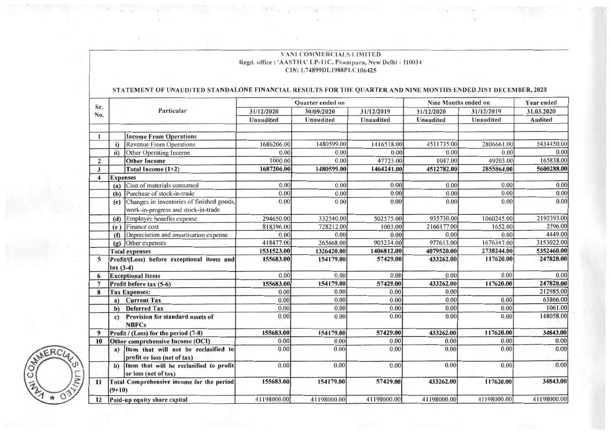#### VANI COMMERCIALS LIMITED Regd. office: 'AASTHA' LP-11C, Pitampura, New Delhi - 110034 CIN: L74899DL1988PLC106425

### STATEMENT OF UNAUDITED STANDALONE FINANCIAL RESULTS FOR THE QUARTER AND NINE MONTHS ENDED 31ST DECEMBER, 2020

|                         |                                                                                         |  | Quarter ended on |             |             | Nine Months ended on |             | Year ended     |
|-------------------------|-----------------------------------------------------------------------------------------|--|------------------|-------------|-------------|----------------------|-------------|----------------|
| Sr.                     | Particular<br>No.                                                                       |  | 31/12/2020       | 30/09/2020  | 31/12/2019  | 31/12/2020           | 31/12/2019  | 31.03.2020     |
|                         |                                                                                         |  | Unaudited        | Unaudited   | Unaudited   | <b>Unaudited</b>     | Unaudited   | <b>Audited</b> |
|                         | <b>Income From Operations</b>                                                           |  |                  |             |             |                      |             |                |
|                         | Revenue From Operations<br>i)                                                           |  | 1686206.00       | 1480599.00  | 1416518.00  | 4511735.00           | 2806661.00  | 5434450.00     |
|                         | ii)<br>Other Operating Income                                                           |  | 0.00             | 0.00        | 0.00        | 0.00                 | 0.00        | 0.00           |
| $\overline{2}$          | <b>Other Income</b>                                                                     |  | 1000.00          | 0.00        | 47723.00    | 1047.00              | 49203.00    | 165838.00      |
| $\overline{\mathbf{3}}$ | Total Income (1+2)                                                                      |  | 1687206.00       | 1480599.00  | 1464241.00  | 4512782.00           | 2855864.00  | 5600288.00     |
| 4                       | <b>Expenses</b>                                                                         |  |                  |             |             |                      |             |                |
|                         | Cost of materials consumed<br>(a)                                                       |  | 0.00             | 0.00        | 0.00        | 0.00                 | 0.00        | 0.00           |
|                         | Purchase of stock-in-trade<br>(b)                                                       |  | 0.00             | 0.00        | 0.00        | 0.00                 | 0.00        | 0.00           |
|                         | Changes in inventories of finished goods,<br>(c)<br>work-in-progress and stock-in-trade |  | 0.00             | 0.00        | 0.00        | 0.00                 | 0.00        | 0.00           |
|                         | Employee benefits expense<br>(d)                                                        |  | 294650.00        | 332540.00   | 502575.00   | 935730.00            | 1060245.00  | 2192393.00     |
|                         | Finance cost<br>(e)                                                                     |  | 818396.00        | 728212.00   | 1003.00     | 2166177.00           | 1652.00     | 2596.00        |
|                         | Depreciation and amortisation expense<br>(f)                                            |  | 0.00             | 0.00        | 0.00        | 0.00                 | 0.00        | 4449.00        |
|                         | Other expenses<br>(g)                                                                   |  | 418477.00        | 265668.00   | 903234.00   | 977613.00            | 1676347.00  | 3153022.00     |
|                         | <b>Total expenses</b>                                                                   |  | 1531523.00       | 1326420.00  | 1406812.00  | 4079520.00           | 2738244.00  | 5352460.00     |
| 5                       | Profit/(Loss) before exceptional items and<br>$\arctan(3-4)$                            |  | 155683.00        | 154179.00   | 57429.00    | 433262.00            | 117620.00   | 247828.00      |
| 6                       | <b>Exceptional Items</b>                                                                |  | 0.00             | 0.00        | 0.00        | 0.00                 | 0.00        | 0.00           |
| 7                       | Profit before tax (5-6)                                                                 |  | 155683.00        | 154179.00   | 57429.00    | 433262.00            | 117620.00   | 247828.00      |
| 8                       | <b>Tax Expenses:</b>                                                                    |  | 0.00             | 0.00        | 0.00        | 0.00                 |             | 212985.00      |
|                         | <b>Current Tax</b><br>a)                                                                |  | 0.00             | 0.00        | 0.00        | 0.00                 | 0.00        | 63866.00       |
|                         | <b>Deferred Tax</b><br>$\mathbf{b}$                                                     |  | 0.00             | 0.00        | 0.00        | 0.00                 | 0.00        | 1061.00        |
|                         | Provision for standard assets of<br>c)<br><b>NBFCs</b>                                  |  | 0.00             | 0.00        | 0.00        | 0.00                 | 0.00        | 148058.00      |
| 9                       | Profit / (Loss) for the period (7-8)                                                    |  | 155683.00        | 154179.00   | 57429.00    | 433262.00            | 117620.00   | 34843.00       |
| 10                      | Other comprehensive Income (OCI)                                                        |  | 0.00             | 0.00        | 0.00        | 0.00                 | 0.00        | 0.00           |
|                         | Item that will not be reclasified to<br>a)<br>profit or loss (net of tax)               |  | 0.00             | 0.00        | 0.00        | 0.00                 | 0.00        | 0.00           |
|                         | Item that will be reclasified to profit<br>$b$<br>or loss (net of tax)                  |  | 0.00             | 0.00        | 0.00        | 0.00                 | 0.00        | 0.00           |
| 11                      | Total Comprehensive income for the period<br>$(9+10)$                                   |  | 155683.00        | 154179.00   | 57429.00    | 433262.00            | 117620.00   | 34843.00       |
| 12                      | Paid-up equity share capital                                                            |  | 41198000.00      | 41198000.00 | 41198000.00 | 41198000.00          | 41198000.00 | 41198000.00    |